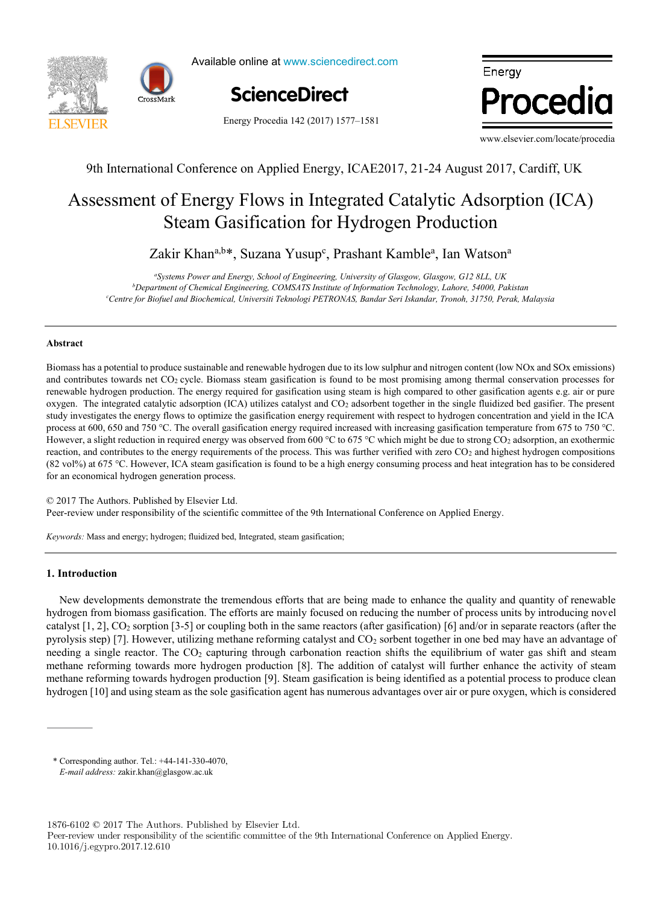



Available online at www.sciencedirect.com

Energy Procedia 142 (2017) 1577-1581

ScienceDirect

Energy Procedia

www.elsevier.com/locate/procedia

## 9th International Conference on Applied Energy, ICAE2017, 21-24 August 2017, Cardiff, UK

# Steam Gasification for Hydrogen Production Assessment of Energy Flows in Integrated Catalytic Adsorption (ICA)

Zakir Khan<sup>a,b\*</sup>, Suzana Yusup<sup>c</sup>, Prashant Kamble<sup>a</sup>, Ian Watson<sup>a</sup>

temperature function for a long-term district heat demand forecast *b Department of Chemical Engineering, COMSATS Institute of Information Technology, Lahore, 54000, Pakistan a Systems Power and Energy, School of Engineering, University of Glasgow, Glasgow, G12 8LL, UK c Centre for Biofuel and Biochemical, Universiti Teknologi PETRONAS, Bandar Seri Iskandar, Tronoh, 31750, Perak, Malaysia*

#### *a* **Abstract** *IN+ Center for Innovation, Technology and Policy Research - Instituto Superior Técnico, Av. Rovisco Pais 1, 1049-001 Lisbon, Portugal*

Biomass has a potential to produce sustainable and renewable hydrogen due to its low sulphur and nitrogen content (low NOx and SOx emissions) study investigates the energy flows to optimize the gasification energy requirement with respect to hydrogen concentration and yield in the ICA However, a slight reduction in required energy was observed from 600 °C to 675 °C which might be due to strong CO<sub>2</sub> adsorption, an exothermic reaction, and contributes to the energy requirements of the process. This was further verified with zero CO<sub>2</sub> and highest hydrogen compositions (82 vol%) at 675 °C. However, ICA steam gasification is found to be a high energy consuming process and heat integration has to be considered for an economical hydrogen generation process. and contributes towards net  $CO<sub>2</sub>$  cycle. Biomass steam gasification is found to be most promising among thermal conservation processes for renewable hydrogen production. The energy required for gasification using steam is high compared to other gasification agents e.g. air or pure oxygen. The integrated catalytic adsorption (ICA) utilizes catalyst and CO2 adsorbent together in the single fluidized bed gasifier. The present process at 600, 650 and 750 °C. The overall gasification energy required increased with increasing gasification temperature from 675 to 750 °C.

© 2017 The Authors. Published by Elsevier Ltd. Peer-review under responsibility of the scientific committee of the 9th International Conference on Applied Energy.  $\mathbf{r}$  in both construction period and typology. The weather scenarios (low, medium, high) and three distriction period and three distriction  $\mathbf{r}$ 

compared with results from a dynamic heat demand model, previously developed and validated by the authors.

*Keywords:* Mass and energy; hydrogen; fluidized bed, Integrated, steam gasification;

#### $\textbf{t}$  harmonic demand was lower than 20% for all weather scenarios considered  $\textbf{t}$  renovation renovation renovation renovation renovation renovation renovation renovation renovation renovation renovation renovation **1. Introduction**

New developments demonstrate the tremendous efforts that are being made to enhance the quality and quantity of renewable hydrogen from biomass gasification. The efforts are mainly focused on reducing the number of process units by introducing novel catalyst  $[1, 2]$ ,  $CO_2$  sorption  $[3-5]$  or coupling both in the same reactors (after gasification)  $[6]$  and/or in separate reactors (after the pyrolysis step) [7]. However, utilizing methane reforming catalyst and CO<sub>2</sub> sorbent together in one bed may have an advantage of needing a single reactor. The CO<sub>2</sub> capturing through carbonation reaction shifts the equilibrium of water gas shift and steam methane reforming towards hydrogen production [9]. Steam gasification is being identified as a potential process to produce clean hydrogen [10] and using steam as the sole gasification agent has numerous advantages over air or pure oxygen, which is considered methane reforming towards more hydrogen production [8]. The addition of catalyst will further enhance the activity of steam

1876-6102 © 2017 The Authors. Published by Elsevier Ltd.

<sup>\*</sup> Corresponding author. Tel.: +44-141-330-4070, *E-mail address:* zakir.khan@glasgow.ac.uk

Peer-review under responsibility of the scientific committee of the 9th International Conference on Applied Energy. 10.1016/j.egypro.2017.12.610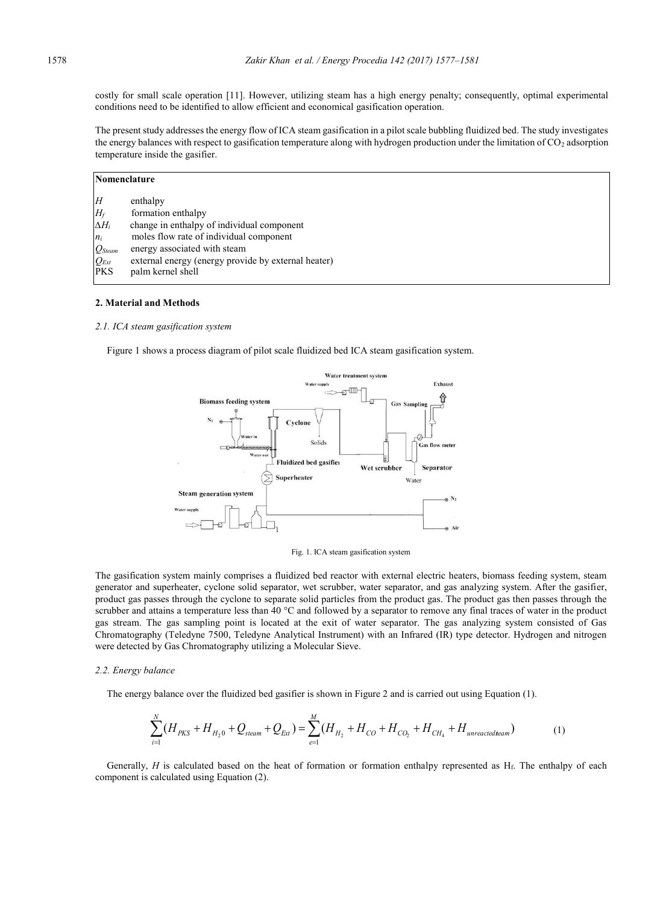costly for small scale operation [11]. However, utilizing steam has a high energy penalty; consequently, optimal experimental conditions need to be identified to allow efficient and economical gasification operation.

The present study addresses the energy flow of ICA steam gasification in a pilot scale bubbling fluidized bed. The study investigates the energy balances with respect to gasification temperature along with hydrogen production under the limitation of CO<sub>2</sub> adsorption temperature inside the gasifier.

| Nomenclature |                                                     |  |
|--------------|-----------------------------------------------------|--|
| H            | enthalpy                                            |  |
| $H_f$        | formation enthalpy                                  |  |
| $\Delta H_i$ | change in enthalpy of individual component          |  |
| $n_i$        | moles flow rate of individual component             |  |
| $Q$ Steam    | energy associated with steam                        |  |
| $Q_{Ext}$    | external energy (energy provide by external heater) |  |
| <b>PKS</b>   | palm kernel shell                                   |  |
|              |                                                     |  |

#### **2. Material and Methods**

#### *2.1. ICA steam gasification system*

Figure 1 shows a process diagram of pilot scale fluidized bed ICA steam gasification system.



Fig. 1. ICA steam gasification system

The gasification system mainly comprises a fluidized bed reactor with external electric heaters, biomass feeding system, steam generator and superheater, cyclone solid separator, wet scrubber, water separator, and gas analyzing system. After the gasifier, product gas passes through the cyclone to separate solid particles from the product gas. The product gas then passes through the scrubber and attains a temperature less than 40 °C and followed by a separator to remove any final traces of water in the product gas stream. The gas sampling point is located at the exit of water separator. The gas analyzing system consisted of Gas Chromatography (Teledyne 7500, Teledyne Analytical Instrument) with an Infrared (IR) type detector. Hydrogen and nitrogen were detected by Gas Chromatography utilizing a Molecular Sieve.

#### *2.2. Energy balance*

The energy balance over the fluidized bed gasifier is shown in Figure 2 and is carried out using Equation (1).

$$
\sum_{i=1}^{N} (H_{PKS} + H_{H_2 0} + Q_{\text{Mean}} + Q_{\text{Ext}}) = \sum_{e=1}^{M} (H_{H_2} + H_{CO} + H_{CO_2} + H_{CH_4} + H_{\text{unreactedseam}})
$$
(1)

Generally, *H* is calculated based on the heat of formation or formation enthalpy represented as  $H_f$ . The enthalpy of each component is calculated using Equation (2).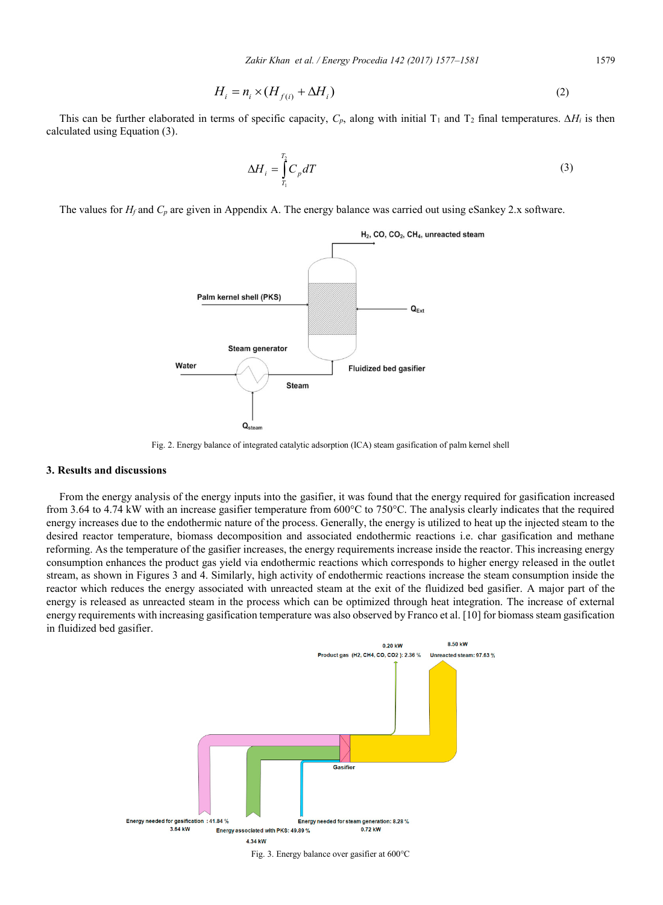$$
H_i = n_i \times (H_{f(i)} + \Delta H_i) \tag{2}
$$

This can be further elaborated in terms of specific capacity,  $C_p$ , along with initial T<sub>1</sub> and T<sub>2</sub> final temperatures.  $\Delta H_i$  is then calculated using Equation (3).

$$
\Delta H_i = \int_{T_i}^{T_2} C_p dT \tag{3}
$$

The values for  $H_f$  and  $C_p$  are given in Appendix A. The energy balance was carried out using eSankey 2.x software.



Fig. 2. Energy balance of integrated catalytic adsorption (ICA) steam gasification of palm kernel shell

#### **3. Results and discussions**

From the energy analysis of the energy inputs into the gasifier, it was found that the energy required for gasification increased from 3.64 to 4.74 kW with an increase gasifier temperature from 600°C to 750°C. The analysis clearly indicates that the required energy increases due to the endothermic nature of the process. Generally, the energy is utilized to heat up the injected steam to the desired reactor temperature, biomass decomposition and associated endothermic reactions i.e. char gasification and methane reforming. As the temperature of the gasifier increases, the energy requirements increase inside the reactor. This increasing energy consumption enhances the product gas yield via endothermic reactions which corresponds to higher energy released in the outlet stream, as shown in Figures 3 and 4. Similarly, high activity of endothermic reactions increase the steam consumption inside the reactor which reduces the energy associated with unreacted steam at the exit of the fluidized bed gasifier. A major part of the energy is released as unreacted steam in the process which can be optimized through heat integration. The increase of external energy requirements with increasing gasification temperature was also observed by Franco et al. [10] for biomass steam gasification in fluidized bed gasifier.



Fig. 3. Energy balance over gasifier at 600°C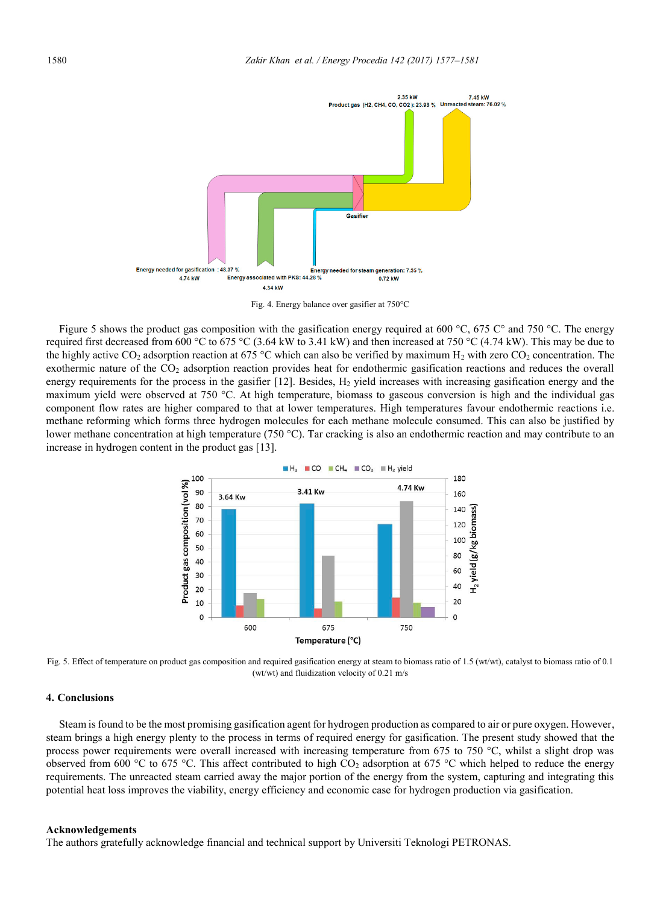

Fig. 4. Energy balance over gasifier at 750°C

Figure 5 shows the product gas composition with the gasification energy required at 600 °C, 675 °C and 750 °C. The energy required first decreased from 600 °C to 675 °C (3.64 kW to 3.41 kW) and then increased at 750 °C (4.74 kW). This may be due to the highly active CO<sub>2</sub> adsorption reaction at 675 °C which can also be verified by maximum H<sub>2</sub> with zero CO<sub>2</sub> concentration. The exothermic nature of the  $CO<sub>2</sub>$  adsorption reaction provides heat for endothermic gasification reactions and reduces the overall energy requirements for the process in the gasifier [12]. Besides, H<sub>2</sub> yield increases with increasing gasification energy and the maximum yield were observed at 750 °C. At high temperature, biomass to gaseous conversion is high and the individual gas component flow rates are higher compared to that at lower temperatures. High temperatures favour endothermic reactions i.e. methane reforming which forms three hydrogen molecules for each methane molecule consumed. This can also be justified by lower methane concentration at high temperature (750 °C). Tar cracking is also an endothermic reaction and may contribute to an increase in hydrogen content in the product gas [13].



Fig. 5. Effect of temperature on product gas composition and required gasification energy at steam to biomass ratio of 1.5 (wt/wt), catalyst to biomass ratio of 0.1 (wt/wt) and fluidization velocity of 0.21 m/s

## **4. Conclusions**

Steam is found to be the most promising gasification agent for hydrogen production as compared to air or pure oxygen. However, steam brings a high energy plenty to the process in terms of required energy for gasification. The present study showed that the process power requirements were overall increased with increasing temperature from 675 to 750  $^{\circ}$ C, whilst a slight drop was observed from 600 °C to 675 °C. This affect contributed to high  $CO<sub>2</sub>$  adsorption at 675 °C which helped to reduce the energy requirements. The unreacted steam carried away the major portion of the energy from the system, capturing and integrating this potential heat loss improves the viability, energy efficiency and economic case for hydrogen production via gasification.

#### **Acknowledgements**

The authors gratefully acknowledge financial and technical support by Universiti Teknologi PETRONAS.